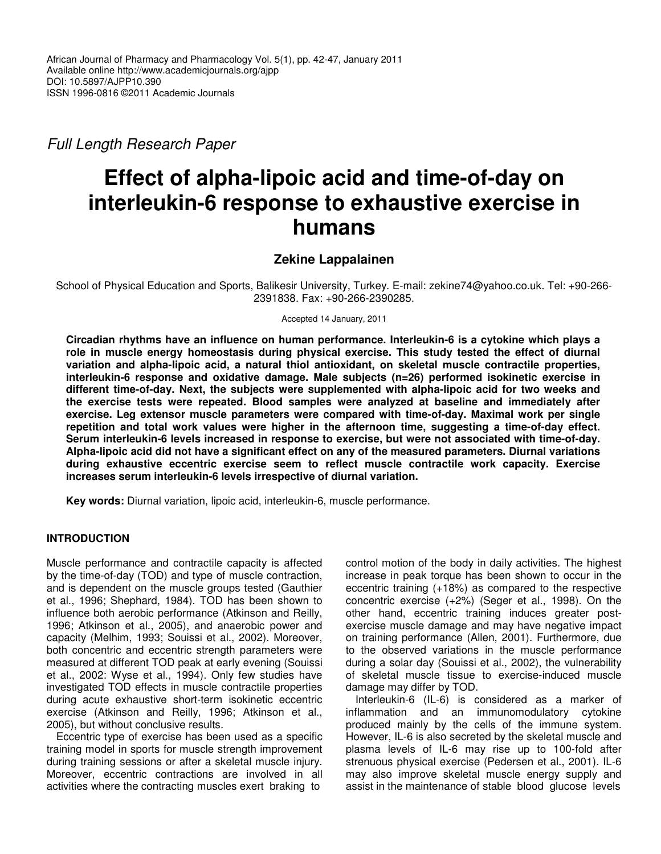*Full Length Research Paper*

# **Effect of alpha-lipoic acid and time-of-day on interleukin-6 response to exhaustive exercise in humans**

## **Zekine Lappalainen**

School of Physical Education and Sports, Balikesir University, Turkey. E-mail: zekine74@yahoo.co.uk. Tel: +90-266- 2391838. Fax: +90-266-2390285.

Accepted 14 January, 2011

**Circadian rhythms have an influence on human performance. Interleukin-6 is a cytokine which plays a role in muscle energy homeostasis during physical exercise. This study tested the effect of diurnal variation and alpha-lipoic acid, a natural thiol antioxidant, on skeletal muscle contractile properties, interleukin-6 response and oxidative damage. Male subjects (n=26) performed isokinetic exercise in different time-of-day. Next, the subjects were supplemented with alpha-lipoic acid for two weeks and the exercise tests were repeated. Blood samples were analyzed at baseline and immediately after exercise. Leg extensor muscle parameters were compared with time-of-day. Maximal work per single repetition and total work values were higher in the afternoon time, suggesting a time-of-day effect. Serum interleukin-6 levels increased in response to exercise, but were not associated with time-of-day. Alpha-lipoic acid did not have a significant effect on any of the measured parameters. Diurnal variations during exhaustive eccentric exercise seem to reflect muscle contractile work capacity. Exercise increases serum interleukin-6 levels irrespective of diurnal variation.**

**Key words:** Diurnal variation, lipoic acid, interleukin-6, muscle performance.

## **INTRODUCTION**

Muscle performance and contractile capacity is affected by the time-of-day (TOD) and type of muscle contraction, and is dependent on the muscle groups tested (Gauthier et al., 1996; Shephard, 1984). TOD has been shown to influence both aerobic performance (Atkinson and Reilly, 1996; Atkinson et al., 2005), and anaerobic power and capacity (Melhim, 1993; Souissi et al., 2002). Moreover, both concentric and eccentric strength parameters were measured at different TOD peak at early evening (Souissi et al., 2002: Wyse et al., 1994). Only few studies have investigated TOD effects in muscle contractile properties during acute exhaustive short-term isokinetic eccentric exercise (Atkinson and Reilly, 1996; Atkinson et al., 2005), but without conclusive results.

Eccentric type of exercise has been used as a specific training model in sports for muscle strength improvement during training sessions or after a skeletal muscle injury. Moreover, eccentric contractions are involved in all activities where the contracting muscles exert braking to

control motion of the body in daily activities. The highest increase in peak torque has been shown to occur in the eccentric training (+18%) as compared to the respective concentric exercise (+2%) (Seger et al., 1998). On the other hand, eccentric training induces greater postexercise muscle damage and may have negative impact on training performance (Allen, 2001). Furthermore, due to the observed variations in the muscle performance during a solar day (Souissi et al., 2002), the vulnerability of skeletal muscle tissue to exercise-induced muscle damage may differ by TOD.

Interleukin-6 (IL-6) is considered as a marker of inflammation and an immunomodulatory cytokine produced mainly by the cells of the immune system. However, IL-6 is also secreted by the skeletal muscle and plasma levels of IL-6 may rise up to 100-fold after strenuous physical exercise (Pedersen et al., 2001). IL-6 may also improve skeletal muscle energy supply and assist in the maintenance of stable blood glucose levels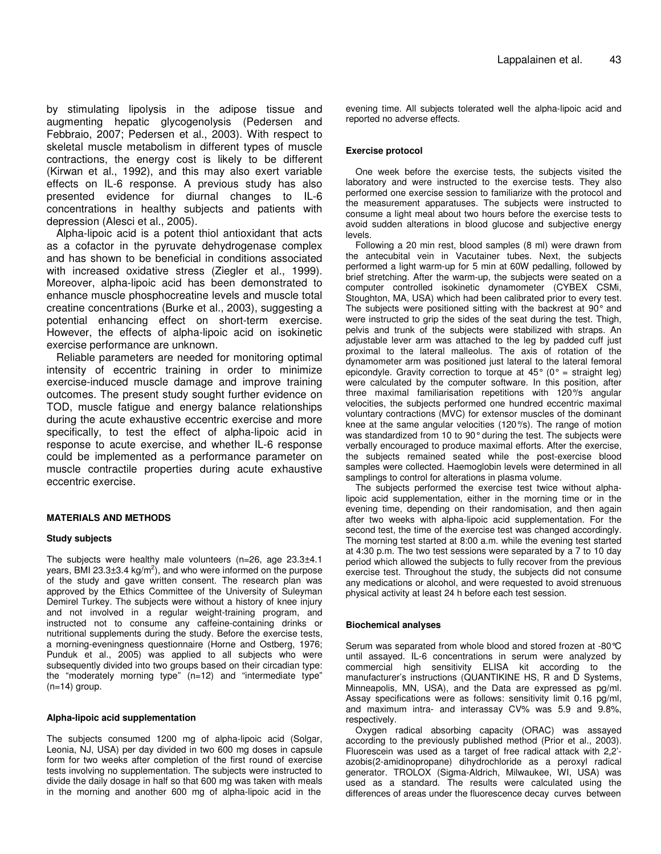by stimulating lipolysis in the adipose tissue and augmenting hepatic glycogenolysis (Pedersen and Febbraio, 2007; Pedersen et al., 2003). With respect to skeletal muscle metabolism in different types of muscle contractions, the energy cost is likely to be different (Kirwan et al., 1992), and this may also exert variable effects on IL-6 response. A previous study has also presented evidence for diurnal changes to IL-6 concentrations in healthy subjects and patients with depression (Alesci et al., 2005).

Alpha-lipoic acid is a potent thiol antioxidant that acts as a cofactor in the pyruvate dehydrogenase complex and has shown to be beneficial in conditions associated with increased oxidative stress (Ziegler et al., 1999). Moreover, alpha-lipoic acid has been demonstrated to enhance muscle phosphocreatine levels and muscle total creatine concentrations (Burke et al., 2003), suggesting a potential enhancing effect on short-term exercise. However, the effects of alpha-lipoic acid on isokinetic exercise performance are unknown.

Reliable parameters are needed for monitoring optimal intensity of eccentric training in order to minimize exercise-induced muscle damage and improve training outcomes. The present study sought further evidence on TOD, muscle fatigue and energy balance relationships during the acute exhaustive eccentric exercise and more specifically, to test the effect of alpha-lipoic acid in response to acute exercise, and whether IL-6 response could be implemented as a performance parameter on muscle contractile properties during acute exhaustive eccentric exercise.

#### **MATERIALS AND METHODS**

#### **Study subjects**

The subjects were healthy male volunteers (n=26, age 23.3±4.1 years, BMI 23.3 $\pm$ 3.4 kg/m<sup>2</sup>), and who were informed on the purpose of the study and gave written consent. The research plan was approved by the Ethics Committee of the University of Suleyman Demirel Turkey. The subjects were without a history of knee injury and not involved in a regular weight-training program, and instructed not to consume any caffeine-containing drinks or nutritional supplements during the study. Before the exercise tests, a morning-eveningness questionnaire (Horne and Ostberg, 1976; Punduk et al., 2005) was applied to all subjects who were subsequently divided into two groups based on their circadian type: the "moderately morning type" (n=12) and "intermediate type" (n=14) group.

#### **Alpha-lipoic acid supplementation**

The subjects consumed 1200 mg of alpha-lipoic acid (Solgar, Leonia, NJ, USA) per day divided in two 600 mg doses in capsule form for two weeks after completion of the first round of exercise tests involving no supplementation. The subjects were instructed to divide the daily dosage in half so that 600 mg was taken with meals in the morning and another 600 mg of alpha-lipoic acid in the

evening time. All subjects tolerated well the alpha-lipoic acid and reported no adverse effects.

#### **Exercise protocol**

One week before the exercise tests, the subjects visited the laboratory and were instructed to the exercise tests. They also performed one exercise session to familiarize with the protocol and the measurement apparatuses. The subjects were instructed to consume a light meal about two hours before the exercise tests to avoid sudden alterations in blood glucose and subjective energy levels.

Following a 20 min rest, blood samples (8 ml) were drawn from the antecubital vein in Vacutainer tubes. Next, the subjects performed a light warm-up for 5 min at 60W pedalling, followed by brief stretching. After the warm-up, the subjects were seated on a computer controlled isokinetic dynamometer (CYBEX CSMi, Stoughton, MA, USA) which had been calibrated prior to every test. The subjects were positioned sitting with the backrest at 90° and were instructed to grip the sides of the seat during the test. Thigh, pelvis and trunk of the subjects were stabilized with straps. An adjustable lever arm was attached to the leg by padded cuff just proximal to the lateral malleolus. The axis of rotation of the dynamometer arm was positioned just lateral to the lateral femoral epicondyle. Gravity correction to torque at  $45^{\circ}$  (0° = straight leg) were calculated by the computer software. In this position, after three maximal familiarisation repetitions with 120°/s angular velocities, the subjects performed one hundred eccentric maximal voluntary contractions (MVC) for extensor muscles of the dominant knee at the same angular velocities (120°/s). The range of motion was standardized from 10 to 90° during the test. The subjects were verbally encouraged to produce maximal efforts. After the exercise, the subjects remained seated while the post-exercise blood samples were collected. Haemoglobin levels were determined in all samplings to control for alterations in plasma volume.

The subjects performed the exercise test twice without alphalipoic acid supplementation, either in the morning time or in the evening time, depending on their randomisation, and then again after two weeks with alpha-lipoic acid supplementation. For the second test, the time of the exercise test was changed accordingly. The morning test started at 8:00 a.m. while the evening test started at 4:30 p.m. The two test sessions were separated by a 7 to 10 day period which allowed the subjects to fully recover from the previous exercise test. Throughout the study, the subjects did not consume any medications or alcohol, and were requested to avoid strenuous physical activity at least 24 h before each test session.

#### **Biochemical analyses**

Serum was separated from whole blood and stored frozen at -80°C until assayed. IL-6 concentrations in serum were analyzed by commercial high sensitivity ELISA kit according to the manufacturer's instructions (QUANTIKINE HS, R and D Systems, Minneapolis, MN, USA), and the Data are expressed as pg/ml. Assay specifications were as follows: sensitivity limit 0.16 pg/ml, and maximum intra- and interassay CV% was 5.9 and 9.8%, respectively.

Oxygen radical absorbing capacity (ORAC) was assayed according to the previously published method (Prior et al., 2003). Fluorescein was used as a target of free radical attack with 2,2' azobis(2-amidinopropane) dihydrochloride as a peroxyl radical generator. TROLOX (Sigma-Aldrich, Milwaukee, WI, USA) was used as a standard. The results were calculated using the differences of areas under the fluorescence decay curves between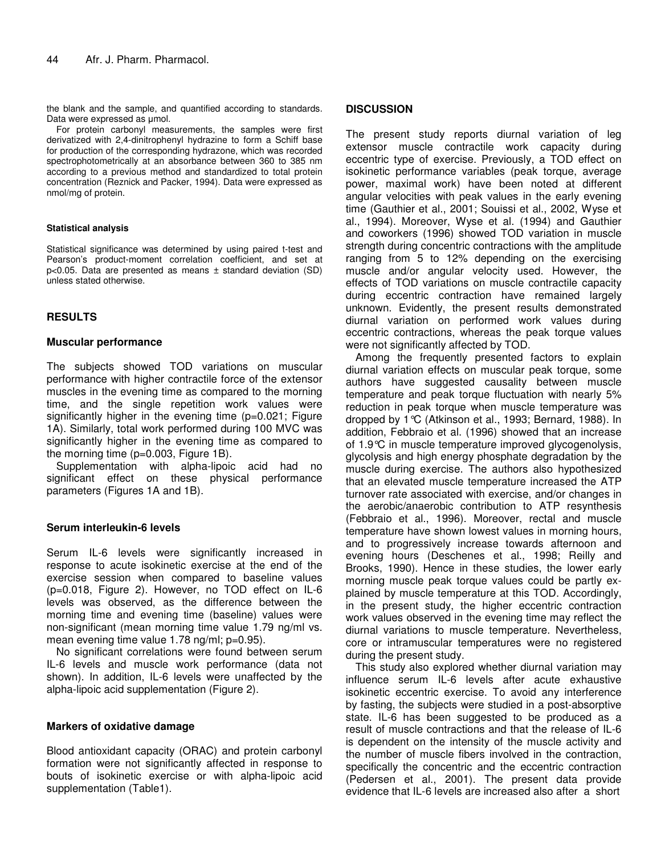the blank and the sample, and quantified according to standards. Data were expressed as umol.

For protein carbonyl measurements, the samples were first derivatized with 2,4-dinitrophenyl hydrazine to form a Schiff base for production of the corresponding hydrazone, which was recorded spectrophotometrically at an absorbance between 360 to 385 nm according to a previous method and standardized to total protein concentration (Reznick and Packer, 1994). Data were expressed as nmol/mg of protein.

#### **Statistical analysis**

Statistical significance was determined by using paired t-test and Pearson's product-moment correlation coefficient, and set at p<0.05. Data are presented as means ± standard deviation (SD) unless stated otherwise.

## **RESULTS**

## **Muscular performance**

The subjects showed TOD variations on muscular performance with higher contractile force of the extensor muscles in the evening time as compared to the morning time, and the single repetition work values were significantly higher in the evening time (p=0.021; Figure 1A). Similarly, total work performed during 100 MVC was significantly higher in the evening time as compared to the morning time (p=0.003, Figure 1B).

Supplementation with alpha-lipoic acid had no significant effect on these physical performance parameters (Figures 1A and 1B).

#### **Serum interleukin-6 levels**

Serum IL-6 levels were significantly increased in response to acute isokinetic exercise at the end of the exercise session when compared to baseline values (p=0.018, Figure 2). However, no TOD effect on IL-6 levels was observed, as the difference between the morning time and evening time (baseline) values were non-significant (mean morning time value 1.79 ng/ml vs. mean evening time value 1.78 ng/ml; p=0.95).

No significant correlations were found between serum IL-6 levels and muscle work performance (data not shown). In addition, IL-6 levels were unaffected by the alpha-lipoic acid supplementation (Figure 2).

#### **Markers of oxidative damage**

Blood antioxidant capacity (ORAC) and protein carbonyl formation were not significantly affected in response to bouts of isokinetic exercise or with alpha-lipoic acid supplementation (Table1).

## **DISCUSSION**

The present study reports diurnal variation of leg extensor muscle contractile work capacity during eccentric type of exercise. Previously, a TOD effect on isokinetic performance variables (peak torque, average power, maximal work) have been noted at different angular velocities with peak values in the early evening time (Gauthier et al., 2001; Souissi et al., 2002, Wyse et al., 1994). Moreover, Wyse et al. (1994) and Gauthier and coworkers (1996) showed TOD variation in muscle strength during concentric contractions with the amplitude ranging from 5 to 12% depending on the exercising muscle and/or angular velocity used. However, the effects of TOD variations on muscle contractile capacity during eccentric contraction have remained largely unknown. Evidently, the present results demonstrated diurnal variation on performed work values during eccentric contractions, whereas the peak torque values were not significantly affected by TOD.

Among the frequently presented factors to explain diurnal variation effects on muscular peak torque, some authors have suggested causality between muscle temperature and peak torque fluctuation with nearly 5% reduction in peak torque when muscle temperature was dropped by 1°C (Atkinson et al., 1993; Bernard, 1988). In addition, Febbraio et al. (1996) showed that an increase of 1.9°C in muscle temperature improved glycogenolysis, glycolysis and high energy phosphate degradation by the muscle during exercise. The authors also hypothesized that an elevated muscle temperature increased the ATP turnover rate associated with exercise, and/or changes in the aerobic/anaerobic contribution to ATP resynthesis (Febbraio et al., 1996). Moreover, rectal and muscle temperature have shown lowest values in morning hours, and to progressively increase towards afternoon and evening hours (Deschenes et al., 1998; Reilly and Brooks, 1990). Hence in these studies, the lower early morning muscle peak torque values could be partly explained by muscle temperature at this TOD. Accordingly, in the present study, the higher eccentric contraction work values observed in the evening time may reflect the diurnal variations to muscle temperature. Nevertheless, core or intramuscular temperatures were no registered during the present study.

This study also explored whether diurnal variation may influence serum IL-6 levels after acute exhaustive isokinetic eccentric exercise. To avoid any interference by fasting, the subjects were studied in a post-absorptive state. IL-6 has been suggested to be produced as a result of muscle contractions and that the release of IL-6 is dependent on the intensity of the muscle activity and the number of muscle fibers involved in the contraction, specifically the concentric and the eccentric contraction (Pedersen et al., 2001). The present data provide evidence that IL-6 levels are increased also after a short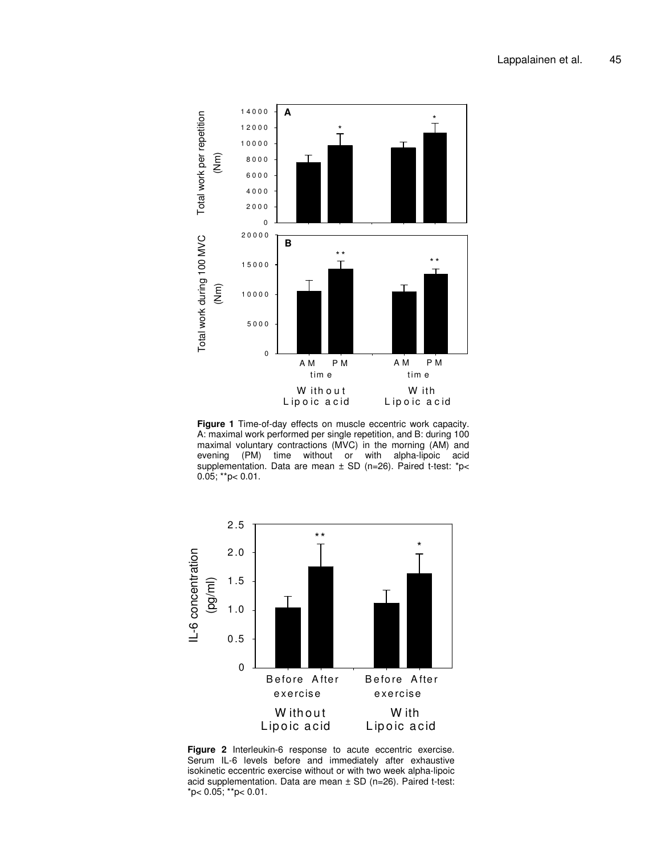

**Figure 1** Time-of-day effects on muscle eccentric work capacity. A: maximal work performed per single repetition, and B: during 100 maximal voluntary contractions (MVC) in the morning (AM) and evening (PM) time without or with alpha-lipoic acid supplementation. Data are mean ± SD (n=26). Paired t-test: \*p<  $0.05$ ; \*\*p< 0.01.



**Figure 2** Interleukin-6 response to acute eccentric exercise. Serum IL-6 levels before and immediately after exhaustive isokinetic eccentric exercise without or with two week alpha-lipoic acid supplementation. Data are mean ± SD (n=26). Paired t-test: \*p< 0.05; \*\*p< 0.01.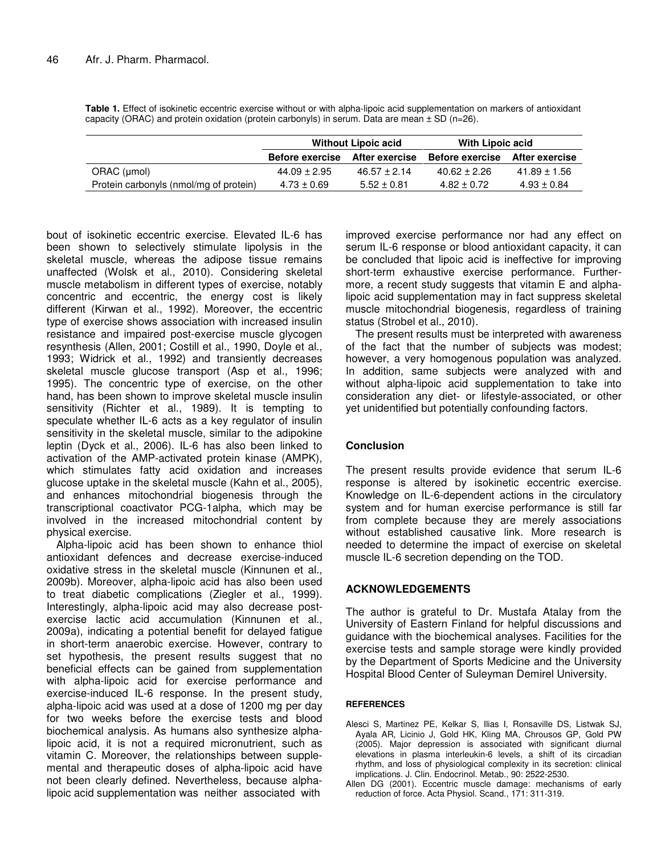| Table 1. Effect of isokinetic eccentric exercise without or with alpha-lipoic acid supplementation on markers of antioxidant |  |  |
|------------------------------------------------------------------------------------------------------------------------------|--|--|
| capacity (ORAC) and protein oxidation (protein carbonyls) in serum. Data are mean $\pm$ SD (n=26).                           |  |  |

|                                        | <b>Without Lipoic acid</b> |                  | With Lipoic acid               |                  |
|----------------------------------------|----------------------------|------------------|--------------------------------|------------------|
|                                        | <b>Before exercise</b>     | After exercise   | Before exercise After exercise |                  |
| ORAC (µmol)                            | 44.09 ± 2.95               | $46.57 \pm 2.14$ | $40.62 \pm 2.26$               | $41.89 \pm 1.56$ |
| Protein carbonyls (nmol/mg of protein) | $4.73 \pm 0.69$            | $5.52 \pm 0.81$  | $4.82 \pm 0.72$                | $4.93 \pm 0.84$  |

bout of isokinetic eccentric exercise. Elevated IL-6 has been shown to selectively stimulate lipolysis in the skeletal muscle, whereas the adipose tissue remains unaffected (Wolsk et al., 2010). Considering skeletal muscle metabolism in different types of exercise, notably concentric and eccentric, the energy cost is likely different (Kirwan et al., 1992). Moreover, the eccentric type of exercise shows association with increased insulin resistance and impaired post-exercise muscle glycogen resynthesis (Allen, 2001; Costill et al., 1990, Doyle et al., 1993; Widrick et al., 1992) and transiently decreases skeletal muscle glucose transport (Asp et al., 1996; 1995). The concentric type of exercise, on the other hand, has been shown to improve skeletal muscle insulin sensitivity (Richter et al., 1989). It is tempting to speculate whether IL-6 acts as a key regulator of insulin sensitivity in the skeletal muscle, similar to the adipokine leptin (Dyck et al., 2006). IL-6 has also been linked to activation of the AMP-activated protein kinase (AMPK), which stimulates fatty acid oxidation and increases glucose uptake in the skeletal muscle (Kahn et al., 2005), and enhances mitochondrial biogenesis through the transcriptional coactivator PCG-1alpha, which may be involved in the increased mitochondrial content by physical exercise.

Alpha-lipoic acid has been shown to enhance thiol antioxidant defences and decrease exercise-induced oxidative stress in the skeletal muscle (Kinnunen et al., 2009b). Moreover, alpha-lipoic acid has also been used to treat diabetic complications (Ziegler et al., 1999). Interestingly, alpha-lipoic acid may also decrease postexercise lactic acid accumulation (Kinnunen et al., 2009a), indicating a potential benefit for delayed fatigue in short-term anaerobic exercise. However, contrary to set hypothesis, the present results suggest that no beneficial effects can be gained from supplementation with alpha-lipoic acid for exercise performance and exercise-induced IL-6 response. In the present study, alpha-lipoic acid was used at a dose of 1200 mg per day for two weeks before the exercise tests and blood biochemical analysis. As humans also synthesize alphalipoic acid, it is not a required micronutrient, such as vitamin C. Moreover, the relationships between supplemental and therapeutic doses of alpha-lipoic acid have not been clearly defined. Nevertheless, because alphalipoic acid supplementation was neither associated with

improved exercise performance nor had any effect on serum IL-6 response or blood antioxidant capacity, it can be concluded that lipoic acid is ineffective for improving short-term exhaustive exercise performance. Furthermore, a recent study suggests that vitamin E and alphalipoic acid supplementation may in fact suppress skeletal muscle mitochondrial biogenesis, regardless of training status (Strobel et al., 2010).

The present results must be interpreted with awareness of the fact that the number of subjects was modest; however, a very homogenous population was analyzed. In addition, same subjects were analyzed with and without alpha-lipoic acid supplementation to take into consideration any diet- or lifestyle-associated, or other yet unidentified but potentially confounding factors.

## **Conclusion**

The present results provide evidence that serum IL-6 response is altered by isokinetic eccentric exercise. Knowledge on IL-6-dependent actions in the circulatory system and for human exercise performance is still far from complete because they are merely associations without established causative link. More research is needed to determine the impact of exercise on skeletal muscle IL-6 secretion depending on the TOD.

## **ACKNOWLEDGEMENTS**

The author is grateful to Dr. Mustafa Atalay from the University of Eastern Finland for helpful discussions and guidance with the biochemical analyses. Facilities for the exercise tests and sample storage were kindly provided by the Department of Sports Medicine and the University Hospital Blood Center of Suleyman Demirel University.

#### **REFERENCES**

- Alesci S, Martinez PE, Kelkar S, Ilias I, Ronsaville DS, Listwak SJ, Ayala AR, Licinio J, Gold HK, Kling MA, Chrousos GP, Gold PW (2005). Major depression is associated with significant diurnal elevations in plasma interleukin-6 levels, a shift of its circadian rhythm, and loss of physiological complexity in its secretion: clinical implications. J. Clin. Endocrinol. Metab., 90: 2522-2530.
- Allen DG (2001). Eccentric muscle damage: mechanisms of early reduction of force. Acta Physiol. Scand., 171: 311-319.